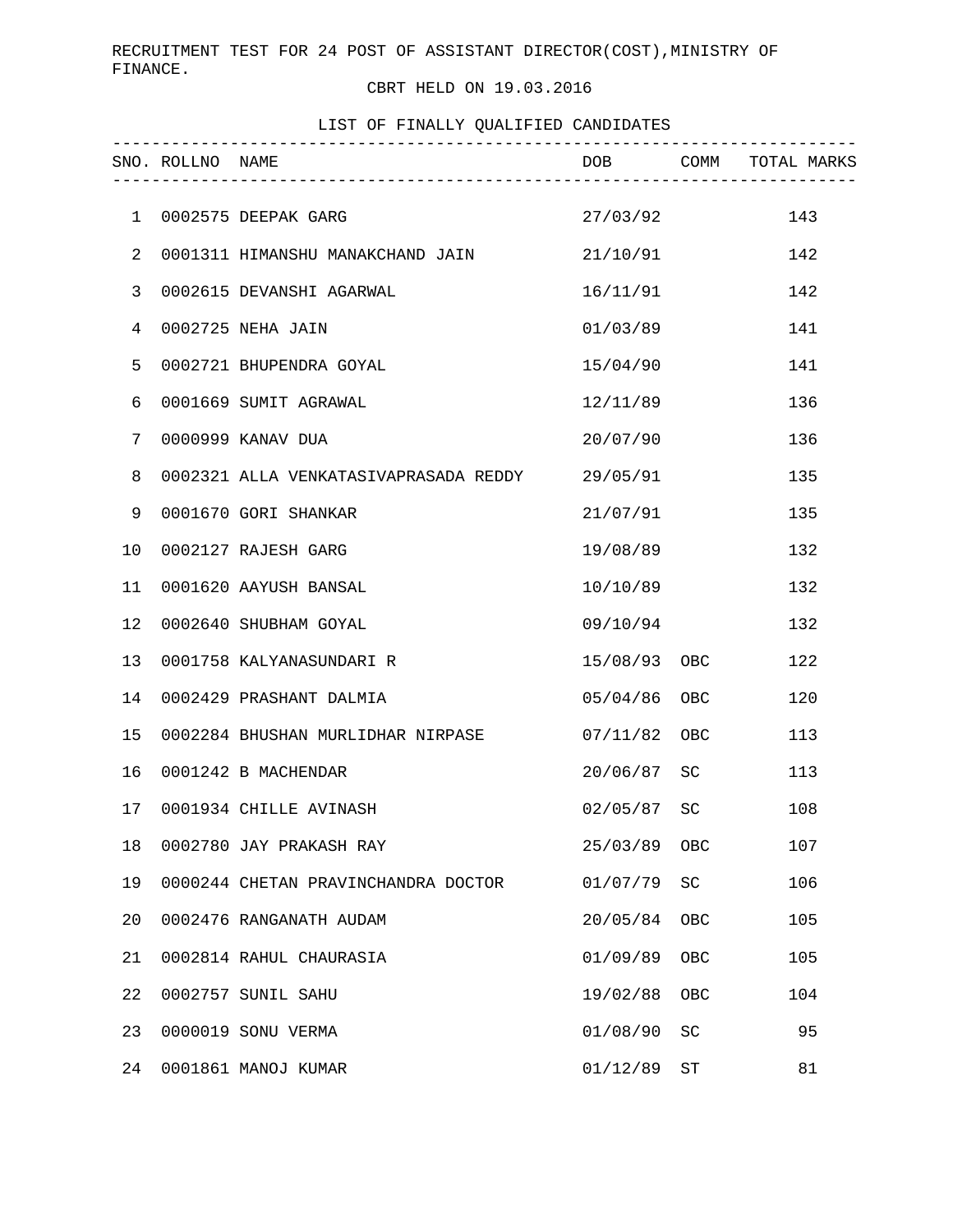## CBRT HELD ON 19.03.2016

LIST OF FINALLY QUALIFIED CANDIDATES

|              | SNO. ROLLNO NAME |                                                |               |                     | DOB COMM TOTAL MARKS |
|--------------|------------------|------------------------------------------------|---------------|---------------------|----------------------|
| $\mathbf{1}$ |                  | 0002575 DEEPAK GARG                            | 27/03/92      |                     | 143                  |
| 2            |                  | 0001311 HIMANSHU MANAKCHAND JAIN 21/10/91      |               |                     | 142                  |
| 3            |                  | 0002615 DEVANSHI AGARWAL                       | 16/11/91      |                     | 142                  |
| 4            |                  | 0002725 NEHA JAIN                              | 01/03/89      |                     | 141                  |
| 5            |                  | 0002721 BHUPENDRA GOYAL                        | 15/04/90      |                     | 141                  |
| 6            |                  | 0001669 SUMIT AGRAWAL                          | 12/11/89      |                     | 136                  |
| 7            |                  | 0000999 KANAV DUA                              | 20/07/90      |                     | 136                  |
| 8            |                  | 0002321 ALLA VENKATASIVAPRASADA REDDY 29/05/91 |               |                     | 135                  |
| 9            |                  | 0001670 GORI SHANKAR                           | 21/07/91      |                     | 135                  |
| 10           |                  | 0002127 RAJESH GARG                            | 19/08/89      |                     | 132                  |
| 11           |                  | 0001620 AAYUSH BANSAL                          | 10/10/89      |                     | 132                  |
| 12           |                  | 0002640 SHUBHAM GOYAL                          | 09/10/94      |                     | 132                  |
| 13           |                  | 0001758 KALYANASUNDARI R                       | 15/08/93 OBC  |                     | 122                  |
| 14           |                  | 0002429 PRASHANT DALMIA                        | 05/04/86 OBC  |                     | 120                  |
| 15           |                  | 0002284 BHUSHAN MURLIDHAR NIRPASE 07/11/82 OBC |               |                     | 113                  |
| 16           |                  | 0001242 B MACHENDAR                            | 20/06/87 SC   |                     | 113                  |
| 17           |                  | 0001934 CHILLE AVINASH                         | $02/05/87$ SC |                     | 108                  |
| 18           |                  | 0002780 JAY PRAKASH RAY                        | 25/03/89      | OBC                 | 107                  |
| 19           |                  | 0000244 CHETAN PRAVINCHANDRA DOCTOR            | 01/07/79      | SC                  | 106                  |
| 20           |                  | 0002476 RANGANATH AUDAM                        | 20/05/84      | OBC                 | 105                  |
| 21           |                  | 0002814 RAHUL CHAURASIA                        | 01/09/89      | OBC                 | 105                  |
| 22           |                  | 0002757 SUNIL SAHU                             | 19/02/88      | OBC                 | 104                  |
| 23           |                  | 0000019 SONU VERMA                             | 01/08/90      | SC                  | 95                   |
| 24           |                  | 0001861 MANOJ KUMAR                            | 01/12/89      | $\operatorname{ST}$ | 81                   |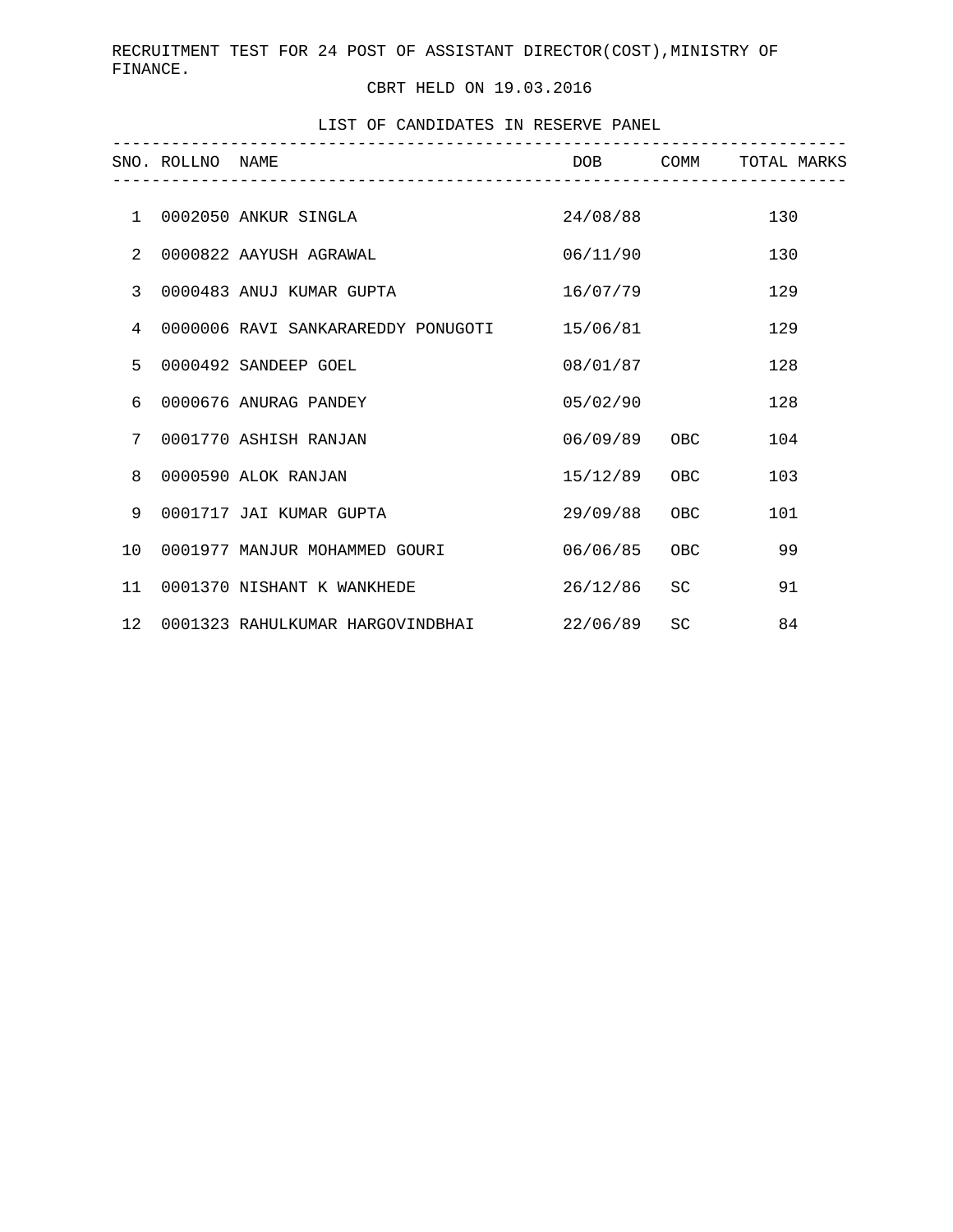## CBRT HELD ON 19.03.2016

LIST OF CANDIDATES IN RESERVE PANEL

|                 | SNO. ROLLNO NAME | _______________________________             |              |           | DOB COMM TOTAL MARKS |
|-----------------|------------------|---------------------------------------------|--------------|-----------|----------------------|
|                 |                  |                                             |              |           |                      |
| $\mathbf{1}$    |                  | 0002050 ANKUR SINGLA                        | 24/08/88     |           | 130                  |
| 2               |                  | 0000822 AAYUSH AGRAWAL                      | 06/11/90     |           | 130                  |
| $\overline{3}$  |                  | 0000483 ANUJ KUMAR GUPTA                    | 16/07/79     |           | 129                  |
| $\overline{4}$  |                  | 0000006 RAVI SANKARAREDDY PONUGOTI 15/06/81 |              |           | 129                  |
| 5               |                  | 0000492 SANDEEP GOEL                        | 08/01/87     |           | 128                  |
| 6               |                  | 0000676 ANURAG PANDEY                       | 05/02/90     |           | 128                  |
| 7               |                  | 0001770 ASHISH RANJAN                       | 06/09/89 OBC |           | 104                  |
| 8               |                  | 0000590 ALOK RANJAN                         | 15/12/89 OBC |           | 103                  |
| 9               |                  | 0001717 JAI KUMAR GUPTA                     | 29/09/88     | OBC       | 101                  |
| 10 <sup>°</sup> |                  | 0001977 MANJUR MOHAMMED GOURI               | 06/06/85 OBC |           | 99                   |
| 11              |                  | 0001370 NISHANT K WANKHEDE                  | 26/12/86     | SC.       | 91                   |
| 12 <sup>1</sup> |                  | 0001323 RAHULKUMAR HARGOVINDBHAI            | 22/06/89     | <b>SC</b> | 84                   |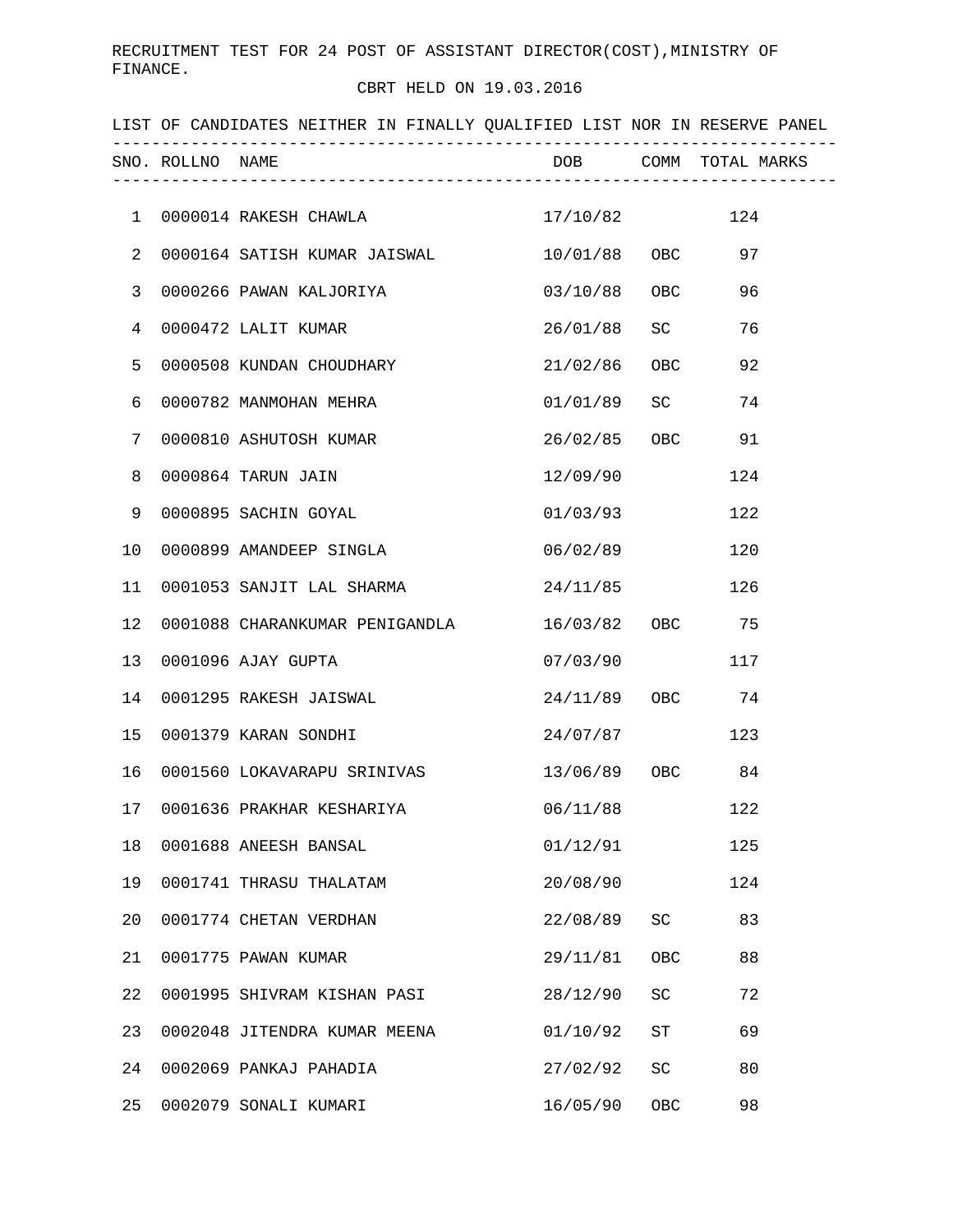## CBRT HELD ON 19.03.2016

|                 |                  | LIST OF CANDIDATES NEITHER IN FINALLY QUALIFIED LIST NOR IN RESERVE PANEL |                      |                 |     |
|-----------------|------------------|---------------------------------------------------------------------------|----------------------|-----------------|-----|
|                 | SNO. ROLLNO NAME |                                                                           | DOB COMM TOTAL MARKS |                 |     |
|                 |                  | 1 0000014 RAKESH CHAWLA 17/10/82 124                                      |                      |                 |     |
| 2               |                  | 0000164 SATISH KUMAR JAISWAL                                              | 10/01/88 OBC 97      |                 |     |
| 3               |                  | 0000266 PAWAN KALJORIYA                                                   | 03/10/88 OBC         |                 | 96  |
| 4               |                  | 0000472 LALIT KUMAR                                                       | 26/01/88 SC          |                 | 76  |
| 5               |                  | 0000508 KUNDAN CHOUDHARY                                                  | 21/02/86 OBC         |                 | 92  |
| 6               |                  | 0000782 MANMOHAN MEHRA                                                    | 01/01/89 SC          |                 | 74  |
| 7               |                  | 0000810 ASHUTOSH KUMAR                                                    | 26/02/85 OBC 91      |                 |     |
| 8               |                  | 0000864 TARUN JAIN                                                        | 12/09/90             |                 | 124 |
| 9               |                  | 0000895 SACHIN GOYAL                                                      | 01/03/93             |                 | 122 |
| 10              |                  | 0000899 AMANDEEP SINGLA                                                   | 06/02/89             |                 | 120 |
| 11              |                  | 0001053 SANJIT LAL SHARMA                                                 | 24/11/85             |                 | 126 |
| 12              |                  | 0001088 CHARANKUMAR PENIGANDLA                                            | 16/03/82 OBC 75      |                 |     |
| 13              |                  | 0001096 AJAY GUPTA                                                        | 07/03/90             |                 | 117 |
| 14              |                  | 0001295 RAKESH JAISWAL                                                    | 24/11/89 OBC 74      |                 |     |
| 15              |                  | 0001379 KARAN SONDHI                                                      | 24/07/87 123         |                 |     |
| 16              |                  | 0001560 LOKAVARAPU SRINIVAS                                               | 13/06/89 OBC 84      |                 |     |
|                 |                  | 17 0001636 PRAKHAR KESHARIYA $06/11/88$                                   |                      |                 | 122 |
| 18              |                  | 0001688 ANEESH BANSAL                                                     | 01/12/91             |                 | 125 |
| 19              |                  | 0001741 THRASU THALATAM                                                   | 20/08/90             |                 | 124 |
| 20 <sub>o</sub> |                  | 0001774 CHETAN VERDHAN                                                    | 22/08/89 SC 83       |                 |     |
| 21              |                  | 0001775 PAWAN KUMAR                                                       | 29/11/81 OBC         |                 | 88  |
| 22              |                  | 0001995 SHIVRAM KISHAN PASI                                               | 28/12/90 SC          |                 | 72  |
| 23              |                  | 0002048 JITENDRA KUMAR MEENA                                              | 01/10/92             | ST <sub>2</sub> | 69  |
| 24              |                  | 0002069 PANKAJ PAHADIA                                                    | 27/02/92 SC          |                 | 80  |
| 25              |                  | 0002079 SONALI KUMARI                                                     | 16/05/90             | OBC             | 98  |